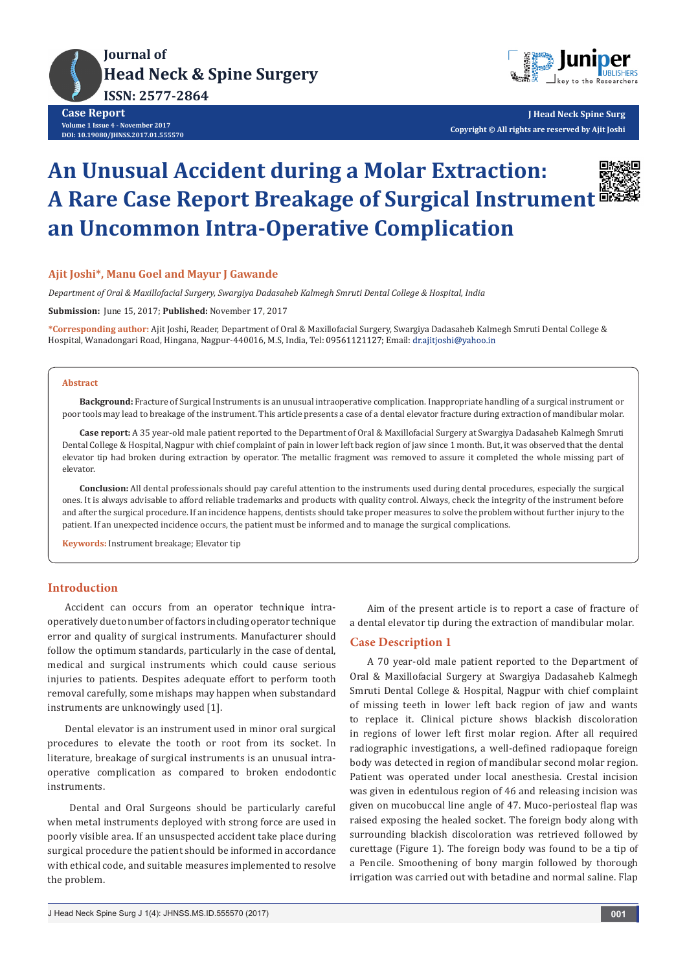



**J Head Neck Spine Surg Copyright © All rights are reserved by Ajit Joshi**

# **An Unusual Accident during a Molar Extraction: A Rare Case Report Breakage of Surgical Instrument an Uncommon Intra-Operative Complication**



### **Ajit Joshi\*, Manu Goel and Mayur J Gawande**

*Department of Oral & Maxillofacial Surgery, Swargiya Dadasaheb Kalmegh Smruti Dental College & Hospital, India*

**Submission:** June 15, 2017; **Published:** November 17, 2017

**\*Corresponding author:** Ajit Joshi, Reader, Department of Oral & Maxillofacial Surgery, Swargiya Dadasaheb Kalmegh Smruti Dental College & Hospital, Wanadongari Road, Hingana, Nagpur-440016, M.S, India, Tel: 09561121127; Email: dr.ajitjoshi@yahoo.in

#### **Abstract**

**Background:** Fracture of Surgical Instruments is an unusual intraoperative complication. Inappropriate handling of a surgical instrument or poor tools may lead to breakage of the instrument. This article presents a case of a dental elevator fracture during extraction of mandibular molar.

**Case report:** A 35 year-old male patient reported to the Department of Oral & Maxillofacial Surgery at Swargiya Dadasaheb Kalmegh Smruti Dental College & Hospital, Nagpur with chief complaint of pain in lower left back region of jaw since 1 month. But, it was observed that the dental elevator tip had broken during extraction by operator. The metallic fragment was removed to assure it completed the whole missing part of elevator.

**Conclusion:** All dental professionals should pay careful attention to the instruments used during dental procedures, especially the surgical ones. It is always advisable to afford reliable trademarks and products with quality control. Always, check the integrity of the instrument before and after the surgical procedure. If an incidence happens, dentists should take proper measures to solve the problem without further injury to the patient. If an unexpected incidence occurs, the patient must be informed and to manage the surgical complications.

**Keywords:** Instrument breakage; Elevator tip

## **Introduction**

Accident can occurs from an operator technique intraoperatively due to number of factors including operator technique error and quality of surgical instruments. Manufacturer should follow the optimum standards, particularly in the case of dental, medical and surgical instruments which could cause serious injuries to patients. Despites adequate effort to perform tooth removal carefully, some mishaps may happen when substandard instruments are unknowingly used [1].

Dental elevator is an instrument used in minor oral surgical procedures to elevate the tooth or root from its socket. In literature, breakage of surgical instruments is an unusual intraoperative complication as compared to broken endodontic instruments.

 Dental and Oral Surgeons should be particularly careful when metal instruments deployed with strong force are used in poorly visible area. If an unsuspected accident take place during surgical procedure the patient should be informed in accordance with ethical code, and suitable measures implemented to resolve the problem.

Aim of the present article is to report a case of fracture of a dental elevator tip during the extraction of mandibular molar.

#### **Case Description 1**

A 70 year-old male patient reported to the Department of Oral & Maxillofacial Surgery at Swargiya Dadasaheb Kalmegh Smruti Dental College & Hospital, Nagpur with chief complaint of missing teeth in lower left back region of jaw and wants to replace it. Clinical picture shows blackish discoloration in regions of lower left first molar region. After all required radiographic investigations, a well-defined radiopaque foreign body was detected in region of mandibular second molar region. Patient was operated under local anesthesia. Crestal incision was given in edentulous region of 46 and releasing incision was given on mucobuccal line angle of 47. Muco-periosteal flap was raised exposing the healed socket. The foreign body along with surrounding blackish discoloration was retrieved followed by curettage (Figure 1). The foreign body was found to be a tip of a Pencile. Smoothening of bony margin followed by thorough irrigation was carried out with betadine and normal saline. Flap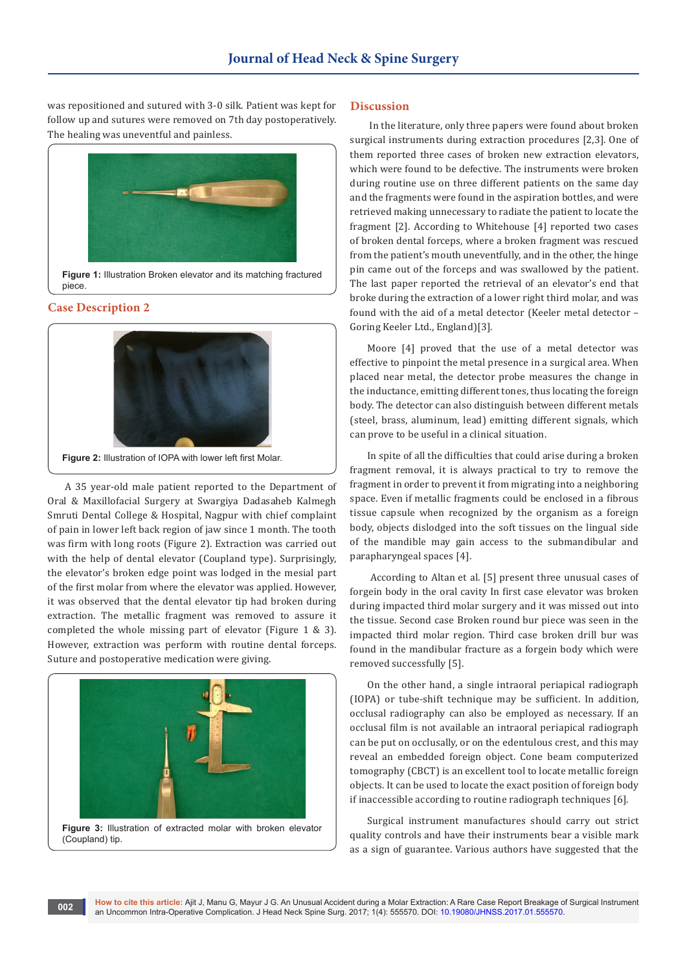was repositioned and sutured with 3-0 silk. Patient was kept for follow up and sutures were removed on 7th day postoperatively. The healing was uneventful and painless.



**Figure 1:** Illustration Broken elevator and its matching fractured piece.

# **Case Description 2**



A 35 year-old male patient reported to the Department of Oral & Maxillofacial Surgery at Swargiya Dadasaheb Kalmegh Smruti Dental College & Hospital, Nagpur with chief complaint of pain in lower left back region of jaw since 1 month. The tooth was firm with long roots (Figure 2). Extraction was carried out with the help of dental elevator (Coupland type). Surprisingly, the elevator's broken edge point was lodged in the mesial part of the first molar from where the elevator was applied. However, it was observed that the dental elevator tip had broken during extraction. The metallic fragment was removed to assure it completed the whole missing part of elevator (Figure 1 & 3). However, extraction was perform with routine dental forceps. Suture and postoperative medication were giving.



**Figure 3:** Illustration of extracted molar with broken elevator (Coupland) tip.

## **Discussion**

 In the literature, only three papers were found about broken surgical instruments during extraction procedures [2,3]. One of them reported three cases of broken new extraction elevators, which were found to be defective. The instruments were broken during routine use on three different patients on the same day and the fragments were found in the aspiration bottles, and were retrieved making unnecessary to radiate the patient to locate the fragment [2]. According to Whitehouse [4] reported two cases of broken dental forceps, where a broken fragment was rescued from the patient's mouth uneventfully, and in the other, the hinge pin came out of the forceps and was swallowed by the patient. The last paper reported the retrieval of an elevator's end that broke during the extraction of a lower right third molar, and was found with the aid of a metal detector (Keeler metal detector – Goring Keeler Ltd., England)[3].

Moore [4] proved that the use of a metal detector was effective to pinpoint the metal presence in a surgical area. When placed near metal, the detector probe measures the change in the inductance, emitting different tones, thus locating the foreign body. The detector can also distinguish between different metals (steel, brass, aluminum, lead) emitting different signals, which can prove to be useful in a clinical situation.

In spite of all the difficulties that could arise during a broken fragment removal, it is always practical to try to remove the fragment in order to prevent it from migrating into a neighboring space. Even if metallic fragments could be enclosed in a fibrous tissue capsule when recognized by the organism as a foreign body, objects dislodged into the soft tissues on the lingual side of the mandible may gain access to the submandibular and parapharyngeal spaces [4].

 According to Altan et al. [5] present three unusual cases of forgein body in the oral cavity In first case elevator was broken during impacted third molar surgery and it was missed out into the tissue. Second case Broken round bur piece was seen in the impacted third molar region. Third case broken drill bur was found in the mandibular fracture as a forgein body which were removed successfully [5].

On the other hand, a single intraoral periapical radiograph (IOPA) or tube-shift technique may be sufficient. In addition, occlusal radiography can also be employed as necessary. If an occlusal film is not available an intraoral periapical radiograph can be put on occlusally, or on the edentulous crest, and this may reveal an embedded foreign object. Cone beam computerized tomography (CBCT) is an excellent tool to locate metallic foreign objects. It can be used to locate the exact position of foreign body if inaccessible according to routine radiograph techniques [6].

Surgical instrument manufactures should carry out strict quality controls and have their instruments bear a visible mark as a sign of guarantee. Various authors have suggested that the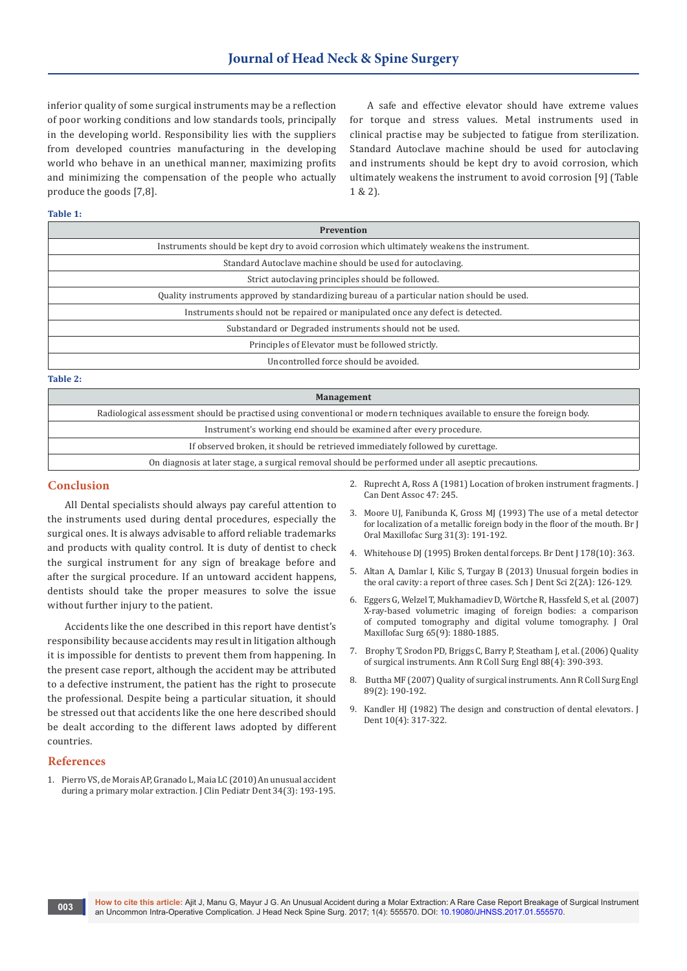inferior quality of some surgical instruments may be a reflection of poor working conditions and low standards tools, principally in the developing world. Responsibility lies with the suppliers from developed countries manufacturing in the developing world who behave in an unethical manner, maximizing profits and minimizing the compensation of the people who actually produce the goods [7,8].

A safe and effective elevator should have extreme values for torque and stress values. Metal instruments used in clinical practise may be subjected to fatigue from sterilization. Standard Autoclave machine should be used for autoclaving and instruments should be kept dry to avoid corrosion, which ultimately weakens the instrument to avoid corrosion [9] (Table 1 & 2).

#### **Table 1:**

| <b>Prevention</b>                                                                           |
|---------------------------------------------------------------------------------------------|
| Instruments should be kept dry to avoid corrosion which ultimately weakens the instrument.  |
| Standard Autoclave machine should be used for autoclaving.                                  |
| Strict autoclaving principles should be followed.                                           |
| Quality instruments approved by standardizing bureau of a particular nation should be used. |
| Instruments should not be repaired or manipulated once any defect is detected.              |
| Substandard or Degraded instruments should not be used.                                     |
| Principles of Elevator must be followed strictly.                                           |
| Uncontrolled force should be avoided.                                                       |

**Table 2:**

| <b>Management</b>                                                                                                         |
|---------------------------------------------------------------------------------------------------------------------------|
| Radiological assessment should be practised using conventional or modern techniques available to ensure the foreign body. |
| Instrument's working end should be examined after every procedure.                                                        |
| If observed broken, it should be retrieved immediately followed by curettage.                                             |
| On diagnosis at later stage, a surgical removal should be performed under all aseptic precautions.                        |
|                                                                                                                           |

#### **Conclusion**

All Dental specialists should always pay careful attention to the instruments used during dental procedures, especially the surgical ones. It is always advisable to afford reliable trademarks and products with quality control. It is duty of dentist to check the surgical instrument for any sign of breakage before and after the surgical procedure. If an untoward accident happens, dentists should take the proper measures to solve the issue without further injury to the patient.

Accidents like the one described in this report have dentist's responsibility because accidents may result in litigation although it is impossible for dentists to prevent them from happening. In the present case report, although the accident may be attributed to a defective instrument, the patient has the right to prosecute the professional. Despite being a particular situation, it should be stressed out that accidents like the one here described should be dealt according to the different laws adopted by different countries.

#### **References**

1. [Pierro VS, de Morais AP, Granado L, Maia LC \(2010\) An unusual accident](https://www.ncbi.nlm.nih.gov/pubmed/20578653)  [during a primary molar extraction. J Clin Pediatr Dent 34\(3\): 193-195.](https://www.ncbi.nlm.nih.gov/pubmed/20578653)

- 2. Ruprecht A, Ross A (1981) Location of broken instrument fragments. J Can Dent Assoc 47: 245.
- 3. [Moore UJ, Fanibunda K, Gross MJ \(1993\) The use of a metal detector](http://www.bjoms.com/article/0266-4356(93)90125-G/fulltext)  [for localization of a metallic foreign body in the floor of the mouth. Br J](http://www.bjoms.com/article/0266-4356(93)90125-G/fulltext)  [Oral Maxillofac Surg 31\(3\): 191-192.](http://www.bjoms.com/article/0266-4356(93)90125-G/fulltext)
- 4. [Whitehouse DJ \(1995\) Broken dental forceps. Br Dent J 178\(10\): 363.](https://www.ncbi.nlm.nih.gov/pubmed/7779494)
- 5. [Altan A, Damlar I, Kilic S, Turgay B \(2013\) Unusual forgein bodies in](http://saspjournals.com/wp-content/uploads/2015/03/SJDS-22A126-129.pdf)  [the oral cavity: a report of three cases. Sch J Dent Sci 2\(2A\): 126-129.](http://saspjournals.com/wp-content/uploads/2015/03/SJDS-22A126-129.pdf)
- 6. [Eggers G, Welzel T, Mukhamadiev D, Wörtche R, Hassfeld S, et al. \(2007\)](https://www.ncbi.nlm.nih.gov/pubmed/17719420)  [X-ray-based volumetric imaging of foreign bodies: a comparison](https://www.ncbi.nlm.nih.gov/pubmed/17719420)  [of computed tomography and digital volume tomography. J Oral](https://www.ncbi.nlm.nih.gov/pubmed/17719420)  [Maxillofac Surg 65\(9\): 1880-1885.](https://www.ncbi.nlm.nih.gov/pubmed/17719420)
- 7. [Brophy T, Srodon PD, Briggs C, Barry P, Steatham J, et al. \(2006\) Quality](https://www.ncbi.nlm.nih.gov/pubmed/16834861/)  [of surgical instruments. Ann R Coll Surg Engl 88\(4\): 390-393.](https://www.ncbi.nlm.nih.gov/pubmed/16834861/)
- 8. [Buttha MF \(2007\) Quality of surgical instruments. Ann R Coll Surg Engl](https://www.ncbi.nlm.nih.gov/pubmed/17346419/)  [89\(2\): 190-192.](https://www.ncbi.nlm.nih.gov/pubmed/17346419/)
- 9. [Kandler HJ \(1982\) The design and construction of dental elevators. J](https://www.ncbi.nlm.nih.gov/pubmed/6962210)  [Dent 10\(4\): 317-322.](https://www.ncbi.nlm.nih.gov/pubmed/6962210)